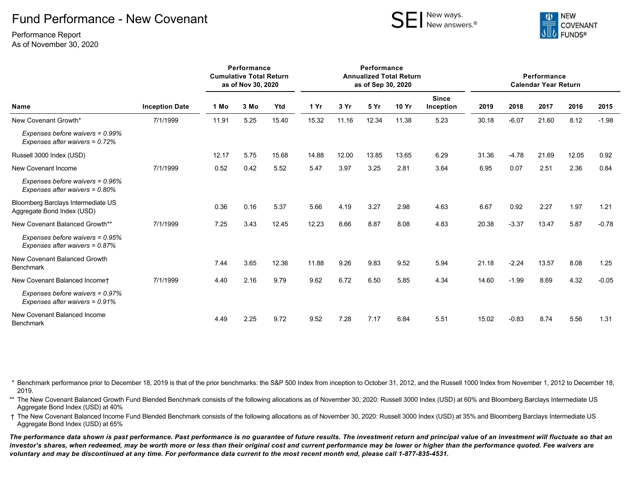## Fund Performance - New Covenant

Performance Report As of November 30, 2020





| Name                                                                 | <b>Inception Date</b> | Performance<br><b>Cumulative Total Return</b><br>as of Nov 30, 2020 |      |       | Performance<br><b>Annualized Total Return</b><br>as of Sep 30, 2020 |       |       |       |                           | Performance<br><b>Calendar Year Return</b> |         |       |       |         |
|----------------------------------------------------------------------|-----------------------|---------------------------------------------------------------------|------|-------|---------------------------------------------------------------------|-------|-------|-------|---------------------------|--------------------------------------------|---------|-------|-------|---------|
|                                                                      |                       | 1 Mo                                                                | 3 Mo | Ytd   | 1 Yr                                                                | 3 Yr  | 5 Yr  | 10 Yr | <b>Since</b><br>Inception | 2019                                       | 2018    | 2017  | 2016  | 2015    |
| New Covenant Growth*                                                 | 7/1/1999              | 11.91                                                               | 5.25 | 15.40 | 15.32                                                               | 11.16 | 12.34 | 11.38 | 5.23                      | 30.18                                      | $-6.07$ | 21.60 | 8.12  | $-1.98$ |
| Expenses before waivers = 0.99%<br>Expenses after waivers = $0.72\%$ |                       |                                                                     |      |       |                                                                     |       |       |       |                           |                                            |         |       |       |         |
| Russell 3000 Index (USD)                                             |                       | 12.17                                                               | 5.75 | 15.68 | 14.88                                                               | 12.00 | 13.85 | 13.65 | 6.29                      | 31.36                                      | $-4.78$ | 21.69 | 12.05 | 0.92    |
| New Covenant Income                                                  | 7/1/1999              | 0.52                                                                | 0.42 | 5.52  | 5.47                                                                | 3.97  | 3.25  | 2.81  | 3.64                      | 6.95                                       | 0.07    | 2.51  | 2.36  | 0.84    |
| Expenses before waivers = 0.96%<br>Expenses after waivers = $0.80\%$ |                       |                                                                     |      |       |                                                                     |       |       |       |                           |                                            |         |       |       |         |
| Bloomberg Barclays Intermediate US<br>Aggregate Bond Index (USD)     |                       | 0.36                                                                | 0.16 | 5.37  | 5.66                                                                | 4.19  | 3.27  | 2.98  | 4.63                      | 6.67                                       | 0.92    | 2.27  | 1.97  | 1.21    |
| New Covenant Balanced Growth**                                       | 7/1/1999              | 7.25                                                                | 3.43 | 12.45 | 12.23                                                               | 8.66  | 8.87  | 8.08  | 4.83                      | 20.38                                      | $-3.37$ | 13.47 | 5.87  | $-0.78$ |
| Expenses before waivers = 0.95%<br>Expenses after waivers = $0.87\%$ |                       |                                                                     |      |       |                                                                     |       |       |       |                           |                                            |         |       |       |         |
| New Covenant Balanced Growth<br><b>Benchmark</b>                     |                       | 7.44                                                                | 3.65 | 12.36 | 11.88                                                               | 9.26  | 9.83  | 9.52  | 5.94                      | 21.18                                      | $-2.24$ | 13.57 | 8.08  | 1.25    |
| New Covenant Balanced Incomet                                        | 7/1/1999              | 4.40                                                                | 2.16 | 9.79  | 9.62                                                                | 6.72  | 6.50  | 5.85  | 4.34                      | 14.60                                      | $-1.99$ | 8.69  | 4.32  | $-0.05$ |
| Expenses before waivers = 0.97%<br>Expenses after waivers = $0.91\%$ |                       |                                                                     |      |       |                                                                     |       |       |       |                           |                                            |         |       |       |         |
| New Covenant Balanced Income<br><b>Benchmark</b>                     |                       | 4.49                                                                | 2.25 | 9.72  | 9.52                                                                | 7.28  | 7.17  | 6.84  | 5.51                      | 15.02                                      | $-0.83$ | 8.74  | 5.56  | 1.31    |

\* Benchmark performance prior to December 18, 2019 is that of the prior benchmarks: the S&P 500 Index from inception to October 31, 2012, and the Russell 1000 Index from November 1, 2012 to December 18, 2019.

\*\* The New Covenant Balanced Growth Fund Blended Benchmark consists of the following allocations as of November 30, 2020: Russell 3000 Index (USD) at 60% and Bloomberg Barclays Intermediate US Aggregate Bond Index (USD) at 40%

† The New Covenant Balanced Income Fund Blended Benchmark consists of the following allocations as of November 30, 2020: Russell 3000 Index (USD) at 35% and Bloomberg Barclays Intermediate US Aggregate Bond Index (USD) at 65%

*The performance data shown is past performance. Past performance is no guarantee of future results. The investment return and principal value of an investment will fluctuate so that an investor's shares, when redeemed, may be worth more or less than their original cost and current performance may be lower or higher than the performance quoted. Fee waivers are voluntary and may be discontinued at any time. For performance data current to the most recent month end, please call 1-877-835-4531.*